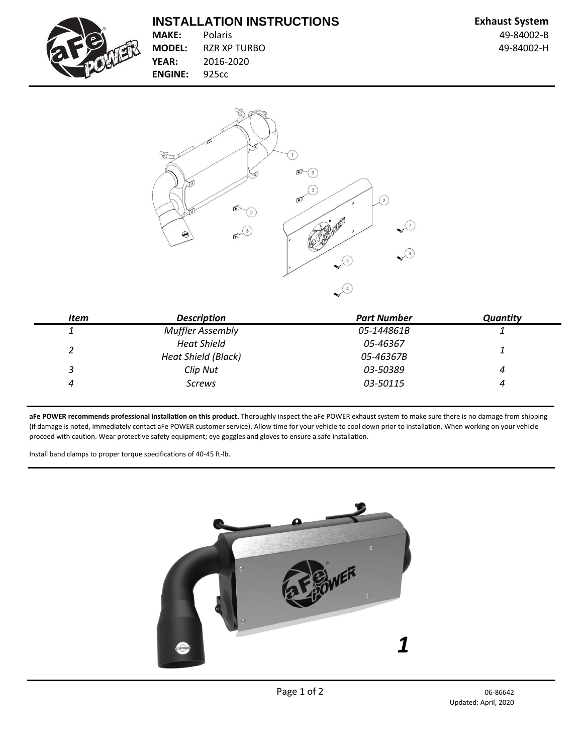## **INSTALLATION INSTRUCTIONS Exhaust System**



**MAKE:** Polaris 49-84002-B **MODEL:** RZR XP TURBO **19-84002-H YEAR:** 2016-2020 **ENGINE:** 925cc



| <b>Item</b> | <b>Description</b>         | <b>Part Number</b> | <b>Quantity</b> |
|-------------|----------------------------|--------------------|-----------------|
|             | <b>Muffler Assembly</b>    | 05-144861B         |                 |
|             | <b>Heat Shield</b>         | 05-46367           |                 |
|             | <b>Heat Shield (Black)</b> | 05-46367B          |                 |
| 3           | Clip Nut                   | 03-50389           | 4               |
| 4           | <b>Screws</b>              | 03-50115           |                 |

**aFe POWER recommends professional installation on this product.** Thoroughly inspect the aFe POWER exhaust system to make sure there is no damage from shipping (if damage is noted, immediately contact aFe POWER customer service). Allow time for your vehicle to cool down prior to installation. When working on your vehicle proceed with caution. Wear protective safety equipment; eye goggles and gloves to ensure a safe installation.

Install band clamps to proper torque specifications of 40-45 ft-lb.